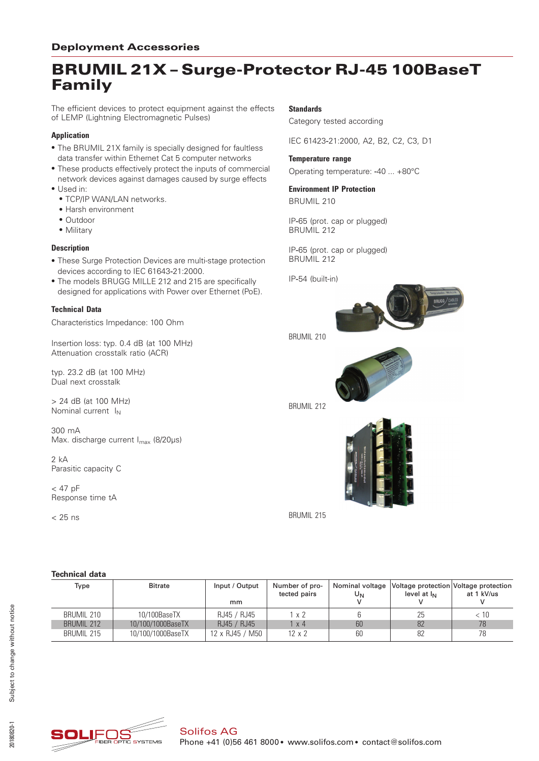# BRUMIL 21X – Surge-Protector RJ-45 100BaseT Family

The efficient devices to protect equipment against the effects of LEMP (Lightning Electromagnetic Pulses)

### **Application**

- The BRUMIL 21X family is specially designed for faultless data transfer within Ethernet Cat 5 computer networks
- \* These products effectively protect the inputs of commercial network devices against damages caused by surge effects
- Used in:
	- TCP/IP WAN/LAN networks.
	- \* Harsh environment
	- Outdoor
	- Military

#### **Description**

- \* These Surge Protection Devices are multi-stage protection devices according to IEC 61643-21:2000.
- \* The models BRUGG MILLE 212 and 215 are specifically designed for applications with Power over Ethernet (PoE).

#### **Technical Data**

Characteristics Impedance: 100 Ohm

Insertion loss: typ. 0.4 dB (at 100 MHz) Attenuation crosstalk ratio (ACR)

typ. 23.2 dB (at 100 MHz) Dual next crosstalk

> 24 dB (at 100 MHz) Nominal current  $I_N$ 

300 mA Max. discharge current I<sub>max</sub> (8/20µs)

2 kA Parasitic capacity C

 $<$  47 pF Response time tA

 $< 25$  ns

#### **Standards**

Category tested according

IEC 61423‑21:2000, A2, B2, C2, C3, D1

#### **Temperature range**

Operating temperature: ‑40 ... +80°C

#### **Environment IP Protection** BRUMIL 210

IP‑65 (prot. cap or plugged) BRUMIL 212

IP‑65 (prot. cap or plugged) BRUMIL 212

IP‑54 (built-in)



BRUMIL 210



BRUMIL 212



BRUMIL 215

#### **Technical data**

| Type              | <b>Bitrate</b>    | Input / Output<br>mm | Number of pro-<br>tected pairs | Nominal voltage<br>UN | level at I <sub>N</sub> | Voltage protection Voltage protection<br>at 1 kV/us |  |  |
|-------------------|-------------------|----------------------|--------------------------------|-----------------------|-------------------------|-----------------------------------------------------|--|--|
| BRUMIL 210        | 10/100BaseTX      | RJ45 / RJ45          | 1 x 2                          |                       | 25                      | < 10                                                |  |  |
| <b>BRUMIL 212</b> | 10/100/1000BaseTX | RJ45 / RJ45          | l x 4                          | 60                    | 82                      | 78                                                  |  |  |
| BRUMIL 215        | 10/100/1000BaseTX | 12 x RJ45 / M50      | $12 \times 2$                  | 60                    | 82                      | 78                                                  |  |  |